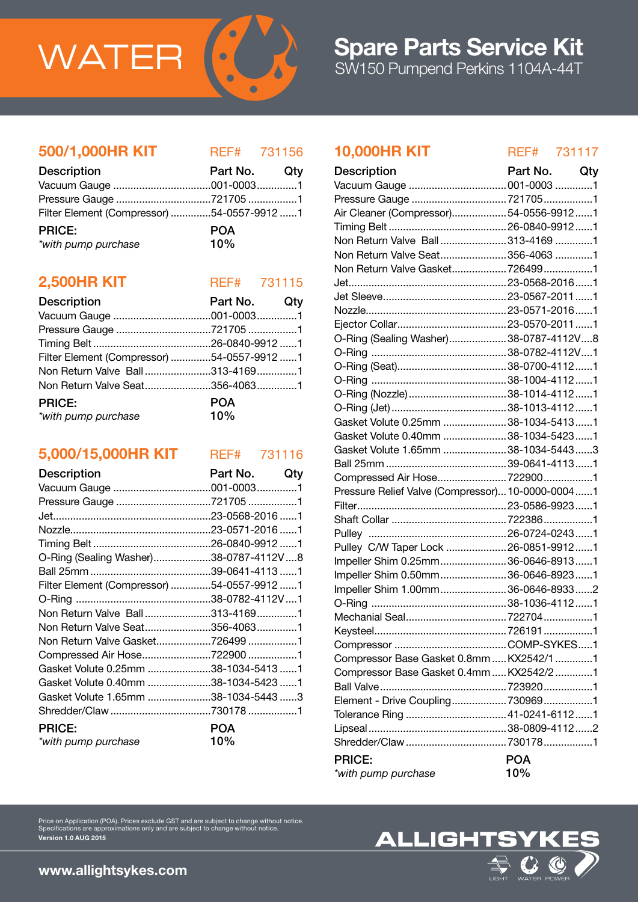

# 500/1,000HR KIT REF# 731156

| <b>Description</b>                         | Part No. Qty |  |
|--------------------------------------------|--------------|--|
|                                            |              |  |
|                                            |              |  |
| Filter Element (Compressor) 54-0557-9912 1 |              |  |
| <b>PRICE:</b>                              | <b>POA</b>   |  |
| *with pump purchase                        | 10%          |  |

# **2,500HR KIT** REF# 731115

| <b>Description</b>                         | Part No. Qty      |  |
|--------------------------------------------|-------------------|--|
|                                            |                   |  |
|                                            |                   |  |
|                                            |                   |  |
| Filter Element (Compressor) 54-0557-9912 1 |                   |  |
| Non Return Valve Ball313-41691             |                   |  |
| Non Return Valve Seat356-40631             |                   |  |
| <b>PRICE:</b><br>*with pump purchase       | <b>POA</b><br>10% |  |

# 5,000/15,000HR KIT REF# 731116

| <b>Description</b>                         | Part No.   | Qty |
|--------------------------------------------|------------|-----|
|                                            |            |     |
| Pressure Gauge 721705 1                    |            |     |
|                                            |            |     |
|                                            |            |     |
|                                            |            |     |
| O-Ring (Sealing Washer)38-0787-4112V8      |            |     |
|                                            |            |     |
| Filter Element (Compressor) 54-0557-9912 1 |            |     |
|                                            |            |     |
| Non Return Valve Ball313-41691             |            |     |
| Non Return Valve Seat356-40631             |            |     |
| Non Return Valve Gasket7264991             |            |     |
| Compressed Air Hose722900 1                |            |     |
| Gasket Volute 0.25mm 38-1034-5413 1        |            |     |
| Gasket Volute 0.40mm 38-1034-5423 1        |            |     |
| Gasket Volute 1.65mm 38-1034-5443 3        |            |     |
| Shredder/Claw 730178 1                     |            |     |
| <b>PRICE:</b>                              | <b>POA</b> |     |
| *with pump purchase                        | 10%        |     |

# 10,000HR KIT REF# 731117

| <b>Description</b>                               | Part No.   | Qty |
|--------------------------------------------------|------------|-----|
| Vacuum Gauge  001-0003 1                         |            |     |
|                                                  |            |     |
| Air Cleaner (Compressor)54-0556-99121            |            |     |
|                                                  |            |     |
| Non Return Valve Ball 313-4169 1                 |            |     |
| Non Return Valve Seat 356-4063 1                 |            |     |
| Non Return Valve Gasket7264991                   |            |     |
|                                                  |            |     |
|                                                  |            |     |
|                                                  |            |     |
|                                                  |            |     |
| O-Ring (Sealing Washer)38-0787-4112V8            |            |     |
|                                                  |            |     |
|                                                  |            |     |
|                                                  |            |     |
| O-Ring (Nozzle)  38-1014-4112  1                 |            |     |
|                                                  |            |     |
| Gasket Volute 0.25mm  38-1034-54131              |            |     |
| Gasket Volute 0.40mm  38-1034-5423 1             |            |     |
| Gasket Volute 1.65mm  38-1034-54433              |            |     |
|                                                  |            |     |
| Compressed Air Hose 7229001                      |            |     |
| Pressure Relief Valve (Compressor) 10-0000-00041 |            |     |
|                                                  |            |     |
|                                                  |            |     |
|                                                  |            |     |
| Pulley C/W Taper Lock  26-0851-9912  1           |            |     |
| Impeller Shim 0.25mm 36-0646-89131               |            |     |
| Impeller Shim 0.50mm 36-0646-89231               |            |     |
| Impeller Shim 1.00mm36-0646-89332                |            |     |
|                                                  |            |     |
|                                                  |            |     |
|                                                  |            |     |
|                                                  |            |     |
| Compressor Base Gasket 0.8mm  KX2542/1 1         |            |     |
| Compressor Base Gasket 0.4mm  KX2542/2 1         |            |     |
|                                                  |            |     |
| Element - Drive Coupling 7309691                 |            |     |
| Tolerance Ring  41-0241-6112  1                  |            |     |
|                                                  |            |     |
|                                                  |            |     |
| <b>PRICE:</b>                                    | <b>POA</b> |     |
| *with pump purchase                              | 10%        |     |